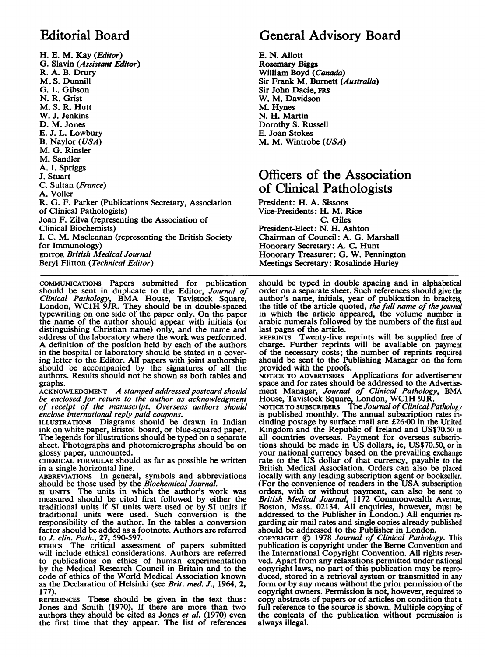## Editorial Board

H. E. M. Kay (Editor) G. Slavin (Assistant Editor) R. A. B. Drury M. S. Dunnill G. L. Gibson N. R. Grist M. S. R. Hutt W. J. Jenkins D. M. Jones E. J. L. Lowbury B. Naylor (USA) M. G. Rinsler M. Sandler A. I. Spriggs J. Stuart C. Sultan (France) A. Voller R. G. F. Parker (Publications Secretary, Association of Clinical Pathologists) Joan F. Zilva (representing the Association of Clinical Biochemists) I. C. M. Maclennan (representing the British Society for Immunology) EDITOR British Medical Journal Beryl Flitton (Technical Editor)

COMMUNICATIONS Papers submitted for publication should be sent in duplicate to the Editor, Journal of Clinical Pathology, BMA House, Tavistock Square, London, WC1H 9JR. They should be in double-spaced typewriting on one side of the paper only. On the paper the name of the author should appear with initials (or distinguishing Christian name) only, and the name and address of the laboratory where the work was performed. A definition of the position held by each of the authors in the hospital or laboratory should be stated in a covering letter to the Editor. All papers with joint authorship should be accompanied by the signatures of all the authors. Results should not be shown as both tables and graphs.

 $ACKNOWLEDGMENT$  *A stamped addressed postcard should* be enclosed for return to the author as acknowledgment of receipt of the manuscript. Overseas authors should

enclose international reply paid coupons. ILLUSTRATIONS Diagrams should be drawn in Indian ink on white paper, Bristol board, or blue-squared paper. The legends for illustrations should be typed on a separate sheet. Photographs and photomicrographs should be on glossy paper, unmounted.

CHEMICAL FORMULAE should as far as possible be written in a single horizontal line.

ABBREVIATIONS In general, symbols and abbreviations should be those used by the Biochemical Journal.

SI UNITS The units in which the author's work was measured should be cited first followed by either the traditional units if SI units were used or by SI units if traditional units were used. Such conversion is the responsibility of the author. In the tables a conversion factor should be added as a footnote. Authors are referred to J. clin. Path., 27, 590-597.

ETHICS The critical assessment of papers submitted will include ethical considerations. Authors are referred to publications on ethics of human experimentation by the Medical Research Council in Britain and to the code of ethics of the World Medical Association known as the Declaration of Helsinki (see Brit. med. J., 1964, 2, 177).

REFERENCES These should be given in the text thus: Jones and Smith (1970). If there are more than two authors they should be cited as Jones et al. (1970) even the first time that they appear. The list of references

## General Advisory Board

E. N. Allott Rosemary Biggs William Boyd (Canada) Sir Frank M. Burnett (Australia) Sir John Dacie, FRS W. M. Davidson M. Hynes N. H. Martin Dorothy S. Russell E. Joan Stokes M. M. Wintrobe (USA)

### Officers of the Association of Clinical Pathologists

President: H. A. Sissons Vice-Presidents: H. M. Rice C. Giles President-Elect: N. H. Ashton Chairman of Council: A. G. Marshall Honorary Secretary: A. C. Hunt Honorary Treasurer: G. W. Pennington Meetings Secretary: Rosalinde Hurley

should be typed in double spacing and in alphabetical order on a separate sheet. Such references should give the author's name, initials, year of publication in brackets, the title of the article quoted, the full name of the journal in which the article appeared, the volume number in arabic numerals followed by the numbers of the first and

last pages of the article. REPRINTS Twenty-five reprints will be supplied free of charge. Further reprints will be available on payment of the necessary costs; the number of reprints required should be sent to the Publishing Manager on the form provided with the proofs.

NOTICE TO ADVERTISERS Applications for advertisement space and for rates should be addressed to the Advertise. ment Manager, *Journal of Clinical Pathology*, BMA<br>House, Tavistock Square, London, WC1H 9JR.<br>NOTICE TO SUBSCRIBERS The Journal of Clinical Pathology

is published monthly. The annual subscription rates including postage by surface mail are £26-00 in the United Kingdom and the Republic of Ireland and US\$70.50 in all countries overseas. Payment for overseas subscriptions should be made in US dollars, ie, US\$70.50, or in your national currency based on the prevailing exchange rate to the US dollar of that currency, payable to the British Medical Association. Orders can also be placed locally with any leading subscription agent or bookseller. (For the convenience of readers in the USA subscription orders, with or without payment, can also be sent to British Medical Journal, 1172 Commonwealth Avenue, Boston, Mass. 02134. All enquiries, however, must be addressed to the Publisher in London.) All enquiries regarding air mail rates and single copies already published

should be addressed to the Publisher in London.<br>COPYRIGHT © 1978 Journal of Clinical Pathology. This<br>publication is copyright under the Berne Convention and the International Copyright Convention. All rights reserved. Apart from any relaxations permitted under national copyright laws, no part of this publication may be reproduced, stored in a retrieval system or transmitted in any form or by any means without the prior permission of the copyright owners. Permission is not, however, required to copy abstracts of papers or of articles on condition that <sup>a</sup> full reference to the source is shown. Multiple copying of the contents of the publication without permission is always illegal.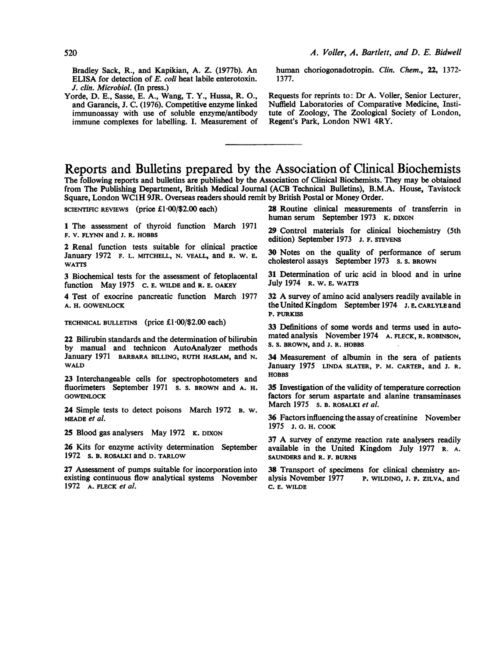Bradley Sack, R., and Kapikian, A. Z. (1977b). An ELISA for detection of E. coli heat labile enterotoxin. J. clin. Microbiol. (In press.)

Yorde, D. E., Sasse, E. A., Wang, T. Y., Hussa, R. 0., and Garancis, J. C. (1976). Competitive enzyme linked immunoassay with use of soluble enzyme/antibody immune complexes for labelling. I. Measurement of human choriogonadotropin. Clin. Chem., 22, 1372- 1377.

Requests for reprints to: Dr A. Voller, Senior Lecturer, Nuffield Laboratories of Comparative Medicine, Institute of Zoology, The Zoological Society of London, Regent's Park, London NW1 4RY.

#### Reports and Bulletins prepared by the Association of Clinical Biochemists

The following reports and bulletins are published by the Association of Clinical Biochemists. They may be obtained from The Publishing Department, British Medical Journal (ACB Technical Bulletins), B.M.A. House, Tavistock Square, London WClH 9JR. Overseas readers should remit by British Postal or Money Order.

SCIENTIFIC REVIEWS (price £1.00/\$2.00 each)

1 The assessment of thyroid function March 1971 F. V. FLYNN and J. R. HOBBS

2 Renal function tests suitable for clinical practice January 1972 F. L. MITCHELL, N. VEALL, and R. W. E. WATTS

3 Biochemical tests for the assessment of fetoplacental function May 1975 C. E. WILDE and R. E. OAKEY

4 Test of exocrine pancreatic function March 1977 A. H. GOWENLOCK

TECHNICAL BULLETINS (price  $£1.00/\$2.00$  each)

22 Bilirubin standards and the determination of bilirubin by manual and technicon AutoAnalyzer methods January 1971 BARBARA BILLING, RUTH HASLAM, and N. WALD

23 Interchangeable cells for spectrophotometers and fluorimeters September 1971 s. s. BROWN and A. H. **GOWENLOCK** 

24 Simple tests to detect poisons March 1972 B. w. MEADE et al.

25 Blood gas analysers May 1972 K. DIXON

26 Kits for enzyme activity deternination September 1972 s. B. ROSALKI and D. TARLOW

27 Assessment of pumps suitable for incorporation into existing continuous flow analytical systems November 1972 A. FLECK et al.

28 Routine clinical measurements of transferrin in human serum September 1973 K. DIXON

29 Control materials for clinical biochemistry (5th edition) September 1973 J. F. STEVENS

30 Notes on the quality of performance of serum cholesterol assays September 1973 s. s. BROWN

31 Determination of uric acid in blood and in urine July 1974 R. W. E. WATTS

<sup>32</sup> A survey of amino acid analysers readily available in the United Kingdom September 1974 J. E. CARLYLE and P. PURKI

33 Definitions of some words and terms used in automated analysis November 1974 A. FLECK, R. ROBINSON, S. S. BROwN, and J. R. HOBBS

34 Measurement of albumin in the sera of patients January 1975 LINDA SLATER, P. M. CARTER, and J. R. HOBBS

35 Investigation of the validity of temperature correction factors for serum aspartate and alanine transaminases March 1975 s. B. ROSALKI et al.

36 Factors influencing the assay of creatinine November 1975 J. G. H. COOK

<sup>37</sup> A survey of enzyme reaction rate analysers readily available in the United Kingdom July 1977 R. A. SAUNDERS and R. F. BURNS

38 Transport of specimens for clinical chemistry analysis November 1977 P. WILDING, J. F. ZILVA, and P. WILDING, J. F. ZILVA, and C. E. WILDE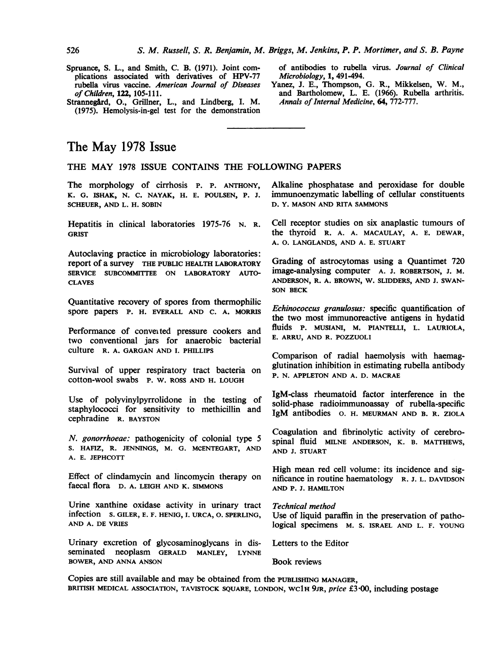- Spruance, S. L., and Smith, C. B. (1971). Joint complications associated with derivatives of HPV-77 rubella virus vaccine. American Journal of Diseases of Children, 122, 105-111.
- Strannegård, O., Grillner, L., and Lindberg, I. M. (1975). Hemolysis-in-gel test for the demonstration

of antibodies to rubella virus. Journal of Clinical Microbiology, 1, 491-494.

Yanez, J. E., Thompson, G. R., Mikkelsen, W. M., and Bartholomew, L. E. (1966). Rubella arthritis. Annals of Internal Medicine, 64, 772-777.

#### The May 1978 Issue

THE MAY <sup>1978</sup> ISSUE CONTAINS THE FOLLOWING PAPERS

The morphology of cirrhosis P. P. ANTHONY, K. G. ISHAK, N. C. NAYAK, H. E. POULSEN, P. J. SCHEUER, AND L. H. SOBIN

Hepatitis in clinical laboratories 1975-76 N. R. **GRIST** 

Autoclaving practice in microbiology laboratories: report of a survey THE PUBLIC HEALTH LABORATORY SERVICE SUBCOMMITTEE ON LABORATORY AUTO-**CLAVES** 

Quantitative recovery of spores from thermophilic spore papers P. H. EVERALL AND C. A. MORRIS

Performance of conveited pressure cookers and two conventional jars for anaerobic bacterial culture R. A. GARGAN AND I. PHILLIPS

Survival of upper respiratory tract bacteria on cotton-wool swabs P. W. ROSS AND H. LOUGH

Use of polyvinylpyrrolidone in the testing of staphylococci for sensitivity to methicillin and cephradine R. BAYSTON

N. gonorrhoeae: pathogenicity of colonial type 5 S. HAFIZ, R. JENNINGS, M. G. MCENTEGART, AND A. E. JEPHCOTT

Effect of clindamycin and lincomycin therapy on faecal flora D. A. LEIGH AND K. SIMMONS

Urine xanthine oxidase activity in urinary tract infection s. GILER, E. F. HENIG, I. URCA, 0. SPERLING, AND A. DE VRIES

Urinary excretion of glycosaminoglycans in disseminated neoplasm GERALD MANLEY, LYNNE BOWER, AND ANNA ANSON

Alkaline phosphatase and peroxidase for double immunoenzymatic labelling of cellular constituents D. Y. MASON AND RITA SAMMONS

Cell receptor studies on six anaplastic tumours of the thyroid R. A. A. MACAULAY, A. E. DEWAR, A. O. LANGLANDS, AND A. E. STUART

Grading of astrocytomas using a Quantimet 720 image-analysing computer A. J. ROBERTSON, J. M. ANDERSON, R. A. BROWN, W. SLIDDERS, AND J. SWAN-SON BECK

Echinococcus granulosus: specific quantification of the two most immunoreactive antigens in hydatid fluids P. MUSIANI, M. PIANTELLI, L. LAURIOLA, E. ARRU, AND R. POZZUOLI

Comparison of radial haemolysis with haemagglutination inhibition in estimating rubella antibody P. N. APPLETON AND A. D. MACRAE

IgM-class rheumatoid factor interference in the solid-phase radioimmunoassay of rubella-specific IgM antibodies 0. H. MEURMAN AND B. R. ZIOLA

Coagulation and fibrinolytic activity of cerebrospinal fluid MILNE ANDERSON, K. B. MATTHEWS, AND J. STUART

High mean red cell volume: its incidence and significance in routine haematology R. J. L. DAVIDSON AND P. J. HAMILTON

Technical method

Use of liquid paraffin in the preservation of pathological specimens M. S. ISRAEL AND L. F. YOUNG

Letters to the Editor

Book reviews

Copies are still available and may be obtained from the PUBL1SHING MANAGER, BRITISH MEDICAL ASSOCIATION, TAVISTOCK SQUARE, LONDON, WC1H 9JR, price £3.00, including postage